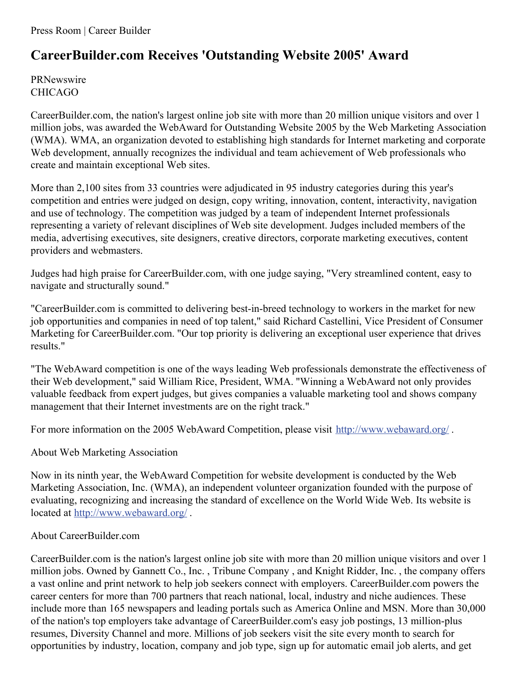## **CareerBuilder.com Receives 'Outstanding Website 2005' Award**

PRNewswire CHICAGO

CareerBuilder.com, the nation's largest online job site with more than 20 million unique visitors and over 1 million jobs, was awarded the WebAward for Outstanding Website 2005 by the Web Marketing Association (WMA). WMA, an organization devoted to establishing high standards for Internet marketing and corporate Web development, annually recognizes the individual and team achievement of Web professionals who create and maintain exceptional Web sites.

More than 2,100 sites from 33 countries were adjudicated in 95 industry categories during this year's competition and entries were judged on design, copy writing, innovation, content, interactivity, navigation and use of technology. The competition was judged by a team of independent Internet professionals representing a variety of relevant disciplines of Web site development. Judges included members of the media, advertising executives, site designers, creative directors, corporate marketing executives, content providers and webmasters.

Judges had high praise for CareerBuilder.com, with one judge saying, "Very streamlined content, easy to navigate and structurally sound."

"CareerBuilder.com is committed to delivering best-in-breed technology to workers in the market for new job opportunities and companies in need of top talent," said Richard Castellini, Vice President of Consumer Marketing for CareerBuilder.com. "Our top priority is delivering an exceptional user experience that drives results."

"The WebAward competition is one of the ways leading Web professionals demonstrate the effectiveness of their Web development," said William Rice, President, WMA. "Winning a WebAward not only provides valuable feedback from expert judges, but gives companies a valuable marketing tool and shows company management that their Internet investments are on the right track."

For more information on the 2005 WebAward Competition, please visit <http://www.webaward.org/>.

## About Web Marketing Association

Now in its ninth year, the WebAward Competition for website development is conducted by the Web Marketing Association, Inc. (WMA), an independent volunteer organization founded with the purpose of evaluating, recognizing and increasing the standard of excellence on the World Wide Web. Its website is located at <http://www.webaward.org/> .

## About CareerBuilder.com

CareerBuilder.com is the nation's largest online job site with more than 20 million unique visitors and over 1 million jobs. Owned by Gannett Co., Inc. , Tribune Company , and Knight Ridder, Inc. , the company offers a vast online and print network to help job seekers connect with employers. CareerBuilder.com powers the career centers for more than 700 partners that reach national, local, industry and niche audiences. These include more than 165 newspapers and leading portals such as America Online and MSN. More than 30,000 of the nation's top employers take advantage of CareerBuilder.com's easy job postings, 13 million-plus resumes, Diversity Channel and more. Millions of job seekers visit the site every month to search for opportunities by industry, location, company and job type, sign up for automatic email job alerts, and get